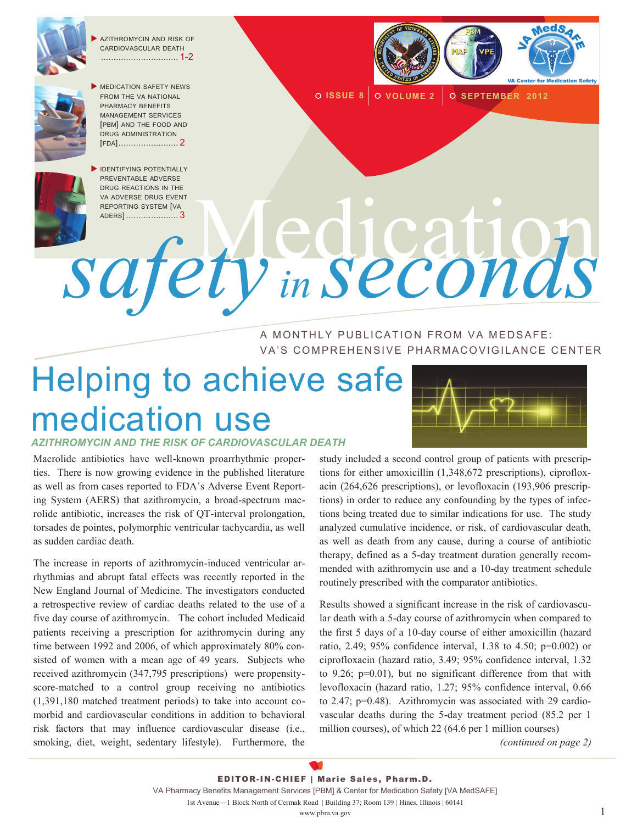

 AZITHROMYCIN AND RISK OF CARDIOVASCULAR DEATH ............................... 1-2



 MEDICATION SAFETY NEWS FROM THE VA NATIONAL PHARMACY BENEFITS MANAGEMENT SERVICES [PBM] AND THE FOOD AND DRUG ADMINISTRATION [FDA]........................ 2



**IDENTIFYING POTENTIALLY** PREVENTABLE ADVERSE DRUG REACTIONS IN THE VA ADVERSE DRUG EVENT REPORTING SYSTEM [VA ANDERSE DRUG EXENT

**O ISSUE 8 O VOLUME 2 O SEPTEMBER 2012** 

*safety in seconds* A MONTHLY PUBLICATION FROM VA MEDSAFE: VA'S COMPREHENSIVE PHARMACOVIGILANCE CENTER

# Helping to achieve safe medication use

*AZITHROMYCIN AND THE RISK OF CARDIOVASCULAR DEATH* 

Macrolide antibiotics have well-known proarrhythmic properties. There is now growing evidence in the published literature as well as from cases reported to FDA's Adverse Event Reporting System (AERS) that azithromycin, a broad-spectrum macrolide antibiotic, increases the risk of QT-interval prolongation, torsades de pointes, polymorphic ventricular tachycardia, as well as sudden cardiac death.

The increase in reports of azithromycin-induced ventricular arrhythmias and abrupt fatal effects was recently reported in the New England Journal of Medicine. The investigators conducted a retrospective review of cardiac deaths related to the use of a five day course of azithromycin. The cohort included Medicaid patients receiving a prescription for azithromycin during any time between 1992 and 2006, of which approximately 80% consisted of women with a mean age of 49 years. Subjects who received azithromycin (347,795 prescriptions) were propensityscore-matched to a control group receiving no antibiotics (1,391,180 matched treatment periods) to take into account comorbid and cardiovascular conditions in addition to behavioral risk factors that may influence cardiovascular disease (i.e., smoking, diet, weight, sedentary lifestyle). Furthermore, the



study included a second control group of patients with prescriptions for either amoxicillin (1,348,672 prescriptions), ciprofloxacin (264,626 prescriptions), or levofloxacin (193,906 prescriptions) in order to reduce any confounding by the types of infections being treated due to similar indications for use. The study analyzed cumulative incidence, or risk, of cardiovascular death, as well as death from any cause, during a course of antibiotic therapy, defined as a 5-day treatment duration generally recommended with azithromycin use and a 10-day treatment schedule routinely prescribed with the comparator antibiotics.

Results showed a significant increase in the risk of cardiovascular death with a 5-day course of azithromycin when compared to the first 5 days of a 10-day course of either amoxicillin (hazard ratio, 2.49; 95% confidence interval, 1.38 to 4.50; p=0.002) or ciprofloxacin (hazard ratio, 3.49; 95% confidence interval, 1.32 to 9.26; p=0.01), but no significant difference from that with levofloxacin (hazard ratio, 1.27; 95% confidence interval, 0.66 to 2.47; p=0.48). Azithromycin was associated with 29 cardiovascular deaths during the 5-day treatment period (85.2 per 1 million courses), of which 22 (64.6 per 1 million courses)

*(continued on page 2)*

EDITOR-IN-CHIEF | Marie Sales, Pharm.D. VA Pharmacy Benefits Management Services [PBM] & Center for Medication Safety [VA MedSAFE] 1st Avenue—1 Block North of Cermak Road | Building 37; Room 139 | Hines, Illinois | 60141

www.pbm.va.gov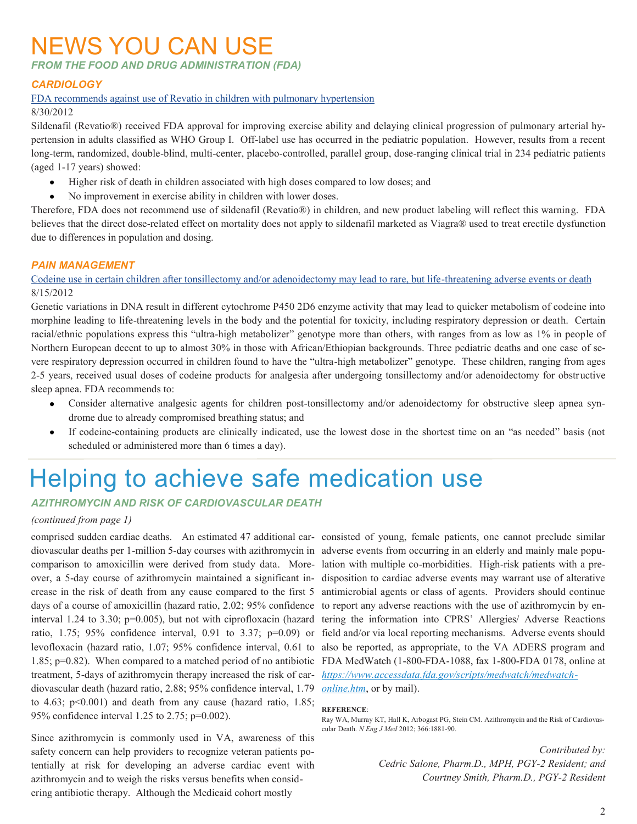### NEWS YOU CAN USE

*FROM THE FOOD AND DRUG ADMINISTRATION (FDA)*

#### *CARDIOLOGY*

#### [FDA recommends against use of Revatio in children with pulmonary hypertension](http://www.fda.gov/Drugs/DrugSafety/ucm317123.htm)

8/30/2012

Sildenafil (Revatio®) received FDA approval for improving exercise ability and delaying clinical progression of pulmonary arterial hypertension in adults classified as WHO Group I. Off-label use has occurred in the pediatric population. However, results from a recent long-term, randomized, double-blind, multi-center, placebo-controlled, parallel group, dose-ranging clinical trial in 234 pediatric patients (aged 1-17 years) showed:

- Higher risk of death in children associated with high doses compared to low doses; and
- No improvement in exercise ability in children with lower doses.

Therefore, FDA does not recommend use of sildenafil (Revatio®) in children, and new product labeling will reflect this warning. FDA believes that the direct dose-related effect on mortality does not apply to sildenafil marketed as Viagra® used to treat erectile dysfunction due to differences in population and dosing.

#### *PAIN MANAGEMENT*

[Codeine use in certain children after tonsillectomy and/or adenoidectomy may lead to rare, but life-threatening adverse events or death](http://www.fda.gov/Drugs/DrugSafety/ucm313631.htm) 8/15/2012

Genetic variations in DNA result in different cytochrome P450 2D6 enzyme activity that may lead to quicker metabolism of codeine into morphine leading to life-threatening levels in the body and the potential for toxicity, including respiratory depression or death. Certain racial/ethnic populations express this "ultra-high metabolizer" genotype more than others, with ranges from as low as 1% in people of Northern European decent to up to almost 30% in those with African/Ethiopian backgrounds. Three pediatric deaths and one case of severe respiratory depression occurred in children found to have the "ultra-high metabolizer" genotype. These children, ranging from ages 2-5 years, received usual doses of codeine products for analgesia after undergoing tonsillectomy and/or adenoidectomy for obstructive sleep apnea. FDA recommends to:

- Consider alternative analgesic agents for children post-tonsillectomy and/or adenoidectomy for obstructive sleep apnea syndrome due to already compromised breathing status; and
- If codeine-containing products are clinically indicated, use the lowest dose in the shortest time on an "as needed" basis (not scheduled or administered more than 6 times a day).

## Helping to achieve safe medication use

#### *AZITHROMYCIN AND RISK OF CARDIOVASCULAR DEATH*

#### *(continued from page 1)*

diovascular deaths per 1-million 5-day courses with azithromycin in adverse events from occurring in an elderly and mainly male popucomparison to amoxicillin were derived from study data. More-lation with multiple co-morbidities. High-risk patients with a predays of a course of amoxicillin (hazard ratio, 2.02; 95% confidence to report any adverse reactions with the use of azithromycin by entreatment, 5-days of azithromycin therapy increased the risk of car-*[https://www.accessdata.fda.gov/scripts/medwatch/medwatch](https://www.accessdata.fda.gov/scripts/medwatch/medwatch-online.htm)*diovascular death (hazard ratio, 2.88; 95% confidence interval, 1.79 *[online.htm](https://www.accessdata.fda.gov/scripts/medwatch/medwatch-online.htm)*, or by mail). to 4.63;  $p<0.001$ ) and death from any cause (hazard ratio, 1.85; 95% confidence interval 1.25 to 2.75; p=0.002).

Since azithromycin is commonly used in VA, awareness of this safety concern can help providers to recognize veteran patients potentially at risk for developing an adverse cardiac event with azithromycin and to weigh the risks versus benefits when considering antibiotic therapy. Although the Medicaid cohort mostly

comprised sudden cardiac deaths. An estimated 47 additional car-consisted of young, female patients, one cannot preclude similar over, a 5-day course of azithromycin maintained a significant in-disposition to cardiac adverse events may warrant use of alterative crease in the risk of death from any cause compared to the first 5 antimicrobial agents or class of agents. Providers should continue interval 1.24 to 3.30; p=0.005), but not with ciprofloxacin (hazard tering the information into CPRS' Allergies/ Adverse Reactions ratio, 1.75; 95% confidence interval, 0.91 to 3.37; p=0.09) or field and/or via local reporting mechanisms. Adverse events should levofloxacin (hazard ratio, 1.07; 95% confidence interval, 0.61 to also be reported, as appropriate, to the VA ADERS program and 1.85; p=0.82). When compared to a matched period of no antibiotic FDA MedWatch (1-800-FDA-1088, fax 1-800-FDA 0178, online at

#### **REFERENCE**:

Ray WA, Murray KT, Hall K, Arbogast PG, Stein CM. Azithromycin and the Risk of Cardiovascular Death. *N Eng J Med* 2012; 366:1881-90.

> *Contributed by: Cedric Salone, Pharm.D., MPH, PGY-2 Resident; and Courtney Smith, Pharm.D., PGY-2 Resident*